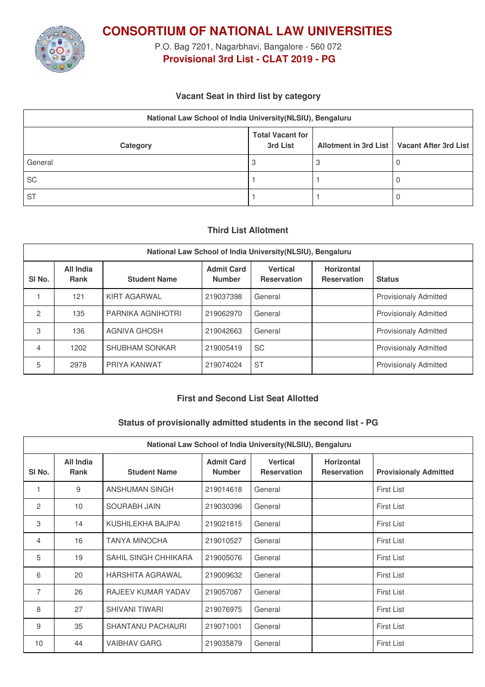

**CONSORTIUM OF NATIONAL LAW UNIVERSITIES**

P.O. Bag 7201, Nagarbhavi, Bangalore - 560 072 **Provisional 3rd List - CLAT 2019 - PG**

## **Vacant Seat in third list by category**

| National Law School of India University (NLSIU), Bengaluru |                                     |  |                                               |  |  |
|------------------------------------------------------------|-------------------------------------|--|-----------------------------------------------|--|--|
| Category                                                   | <b>Total Vacant for</b><br>3rd List |  | Allotment in 3rd List   Vacant After 3rd List |  |  |
| General                                                    |                                     |  |                                               |  |  |
| <b>SC</b>                                                  |                                     |  |                                               |  |  |
| <b>ST</b>                                                  |                                     |  |                                               |  |  |

## **Third List Allotment**

| National Law School of India University (NLSIU), Bengaluru |                          |                       |                                    |                                       |                                         |                              |
|------------------------------------------------------------|--------------------------|-----------------------|------------------------------------|---------------------------------------|-----------------------------------------|------------------------------|
| SI <sub>No.</sub>                                          | All India<br><b>Rank</b> | <b>Student Name</b>   | <b>Admit Card</b><br><b>Number</b> | <b>Vertical</b><br><b>Reservation</b> | <b>Horizontal</b><br><b>Reservation</b> | <b>Status</b>                |
|                                                            | 121                      | KIRT AGARWAL          | 219037398                          | General                               |                                         | <b>Provisionaly Admitted</b> |
| 2                                                          | 135                      | PARNIKA AGNIHOTRI     | 219062970                          | General                               |                                         | <b>Provisionaly Admitted</b> |
| 3                                                          | 136                      | <b>AGNIVA GHOSH</b>   | 219042663                          | General                               |                                         | <b>Provisionaly Admitted</b> |
| 4                                                          | 1202                     | <b>SHUBHAM SONKAR</b> | 219005419                          | <b>SC</b>                             |                                         | <b>Provisionaly Admitted</b> |
| 5                                                          | 2978                     | PRIYA KANWAT          | 219074024                          | <b>ST</b>                             |                                         | <b>Provisionaly Admitted</b> |

## **First and Second List Seat Allotted**

## **Status of provisionally admitted students in the second list - PG**

| National Law School of India University (NLSIU), Bengaluru |                          |                           |                                    |                                       |                                         |                              |
|------------------------------------------------------------|--------------------------|---------------------------|------------------------------------|---------------------------------------|-----------------------------------------|------------------------------|
| SI No.                                                     | <b>All India</b><br>Rank | <b>Student Name</b>       | <b>Admit Card</b><br><b>Number</b> | <b>Vertical</b><br><b>Reservation</b> | <b>Horizontal</b><br><b>Reservation</b> | <b>Provisionaly Admitted</b> |
|                                                            | 9                        | ANSHUMAN SINGH            | 219014618                          | General                               |                                         | <b>First List</b>            |
| 2                                                          | 10                       | <b>SOURABH JAIN</b>       | 219030396                          | General                               |                                         | <b>First List</b>            |
| 3                                                          | 14                       | KUSHILEKHA BAJPAI         | 219021815                          | General                               |                                         | <b>First List</b>            |
| 4                                                          | 16                       | <b>TANYA MINOCHA</b>      | 219010527                          | General                               |                                         | <b>First List</b>            |
| 5                                                          | 19                       | SAHIL SINGH CHHIKARA      | 219005076                          | General                               |                                         | <b>First List</b>            |
| 6                                                          | 20                       | HARSHITA AGRAWAL          | 219009632                          | General                               |                                         | <b>First List</b>            |
| $\overline{7}$                                             | 26                       | <b>RAJEEV KUMAR YADAV</b> | 219057087                          | General                               |                                         | <b>First List</b>            |
| 8                                                          | 27                       | <b>SHIVANI TIWARI</b>     | 219076975                          | General                               |                                         | <b>First List</b>            |
| 9                                                          | 35                       | <b>SHANTANU PACHAURI</b>  | 219071001                          | General                               |                                         | <b>First List</b>            |
| 10                                                         | 44                       | <b>VAIBHAV GARG</b>       | 219035879                          | General                               |                                         | <b>First List</b>            |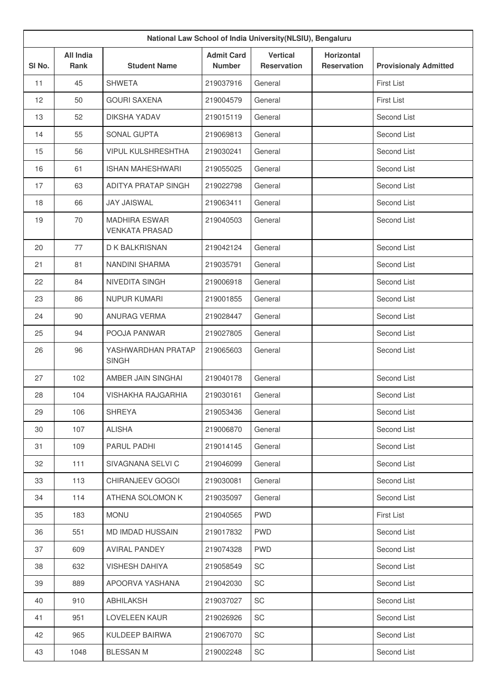| National Law School of India University(NLSIU), Bengaluru |                          |                                               |                                    |                                       |                                         |                              |
|-----------------------------------------------------------|--------------------------|-----------------------------------------------|------------------------------------|---------------------------------------|-----------------------------------------|------------------------------|
| SI No.                                                    | <b>All India</b><br>Rank | <b>Student Name</b>                           | <b>Admit Card</b><br><b>Number</b> | <b>Vertical</b><br><b>Reservation</b> | <b>Horizontal</b><br><b>Reservation</b> | <b>Provisionaly Admitted</b> |
| 11                                                        | 45                       | <b>SHWETA</b>                                 | 219037916                          | General                               |                                         | <b>First List</b>            |
| 12                                                        | 50                       | <b>GOURI SAXENA</b>                           | 219004579                          | General                               |                                         | First List                   |
| 13                                                        | 52                       | <b>DIKSHA YADAV</b>                           | 219015119                          | General                               |                                         | Second List                  |
| 14                                                        | 55                       | SONAL GUPTA                                   | 219069813                          | General                               |                                         | Second List                  |
| 15                                                        | 56                       | <b>VIPUL KULSHRESHTHA</b>                     | 219030241                          | General                               |                                         | Second List                  |
| 16                                                        | 61                       | <b>ISHAN MAHESHWARI</b>                       | 219055025                          | General                               |                                         | Second List                  |
| 17                                                        | 63                       | <b>ADITYA PRATAP SINGH</b>                    | 219022798                          | General                               |                                         | Second List                  |
| 18                                                        | 66                       | <b>JAY JAISWAL</b>                            | 219063411                          | General                               |                                         | Second List                  |
| 19                                                        | 70                       | <b>MADHIRA ESWAR</b><br><b>VENKATA PRASAD</b> | 219040503                          | General                               |                                         | Second List                  |
| 20                                                        | 77                       | D K BALKRISNAN                                | 219042124                          | General                               |                                         | Second List                  |
| 21                                                        | 81                       | NANDINI SHARMA                                | 219035791                          | General                               |                                         | Second List                  |
| 22                                                        | 84                       | NIVEDITA SINGH                                | 219006918                          | General                               |                                         | Second List                  |
| 23                                                        | 86                       | <b>NUPUR KUMARI</b>                           | 219001855                          | General                               |                                         | Second List                  |
| 24                                                        | 90                       | ANURAG VERMA                                  | 219028447                          | General                               |                                         | Second List                  |
| 25                                                        | 94                       | POOJA PANWAR                                  | 219027805                          | General                               |                                         | Second List                  |
| 26                                                        | 96                       | YASHWARDHAN PRATAP<br><b>SINGH</b>            | 219065603                          | General                               |                                         | Second List                  |
| 27                                                        | 102                      | AMBER JAIN SINGHAI                            | 219040178                          | General                               |                                         | Second List                  |
| 28                                                        | 104                      | VISHAKHA RAJGARHIA                            | 219030161                          | General                               |                                         | Second List                  |
| 29                                                        | 106                      | <b>SHREYA</b>                                 | 219053436                          | General                               |                                         | Second List                  |
| 30                                                        | 107                      | <b>ALISHA</b>                                 | 219006870                          | General                               |                                         | Second List                  |
| 31                                                        | 109                      | PARUL PADHI                                   | 219014145                          | General                               |                                         | Second List                  |
| 32                                                        | 111                      | SIVAGNANA SELVI C                             | 219046099                          | General                               |                                         | Second List                  |
| 33                                                        | 113                      | CHIRANJEEV GOGOI                              | 219030081                          | General                               |                                         | Second List                  |
| 34                                                        | 114                      | ATHENA SOLOMON K                              | 219035097                          | General                               |                                         | Second List                  |
| 35                                                        | 183                      | <b>MONU</b>                                   | 219040565                          | <b>PWD</b>                            |                                         | First List                   |
| 36                                                        | 551                      | MD IMDAD HUSSAIN                              | 219017832                          | <b>PWD</b>                            |                                         | Second List                  |
| 37                                                        | 609                      | <b>AVIRAL PANDEY</b>                          | 219074328                          | <b>PWD</b>                            |                                         | Second List                  |
| 38                                                        | 632                      | <b>VISHESH DAHIYA</b>                         | 219058549                          | SC                                    |                                         | Second List                  |
| 39                                                        | 889                      | APOORVA YASHANA                               | 219042030                          | SC                                    |                                         | Second List                  |
| 40                                                        | 910                      | ABHILAKSH                                     | 219037027                          | SC                                    |                                         | Second List                  |
| 41                                                        | 951                      | LOVELEEN KAUR                                 | 219026926                          | SC                                    |                                         | Second List                  |
| 42                                                        | 965                      | KULDEEP BAIRWA                                | 219067070                          | SC                                    |                                         | Second List                  |
| 43                                                        | 1048                     | <b>BLESSAN M</b>                              | 219002248                          | SC                                    |                                         | Second List                  |